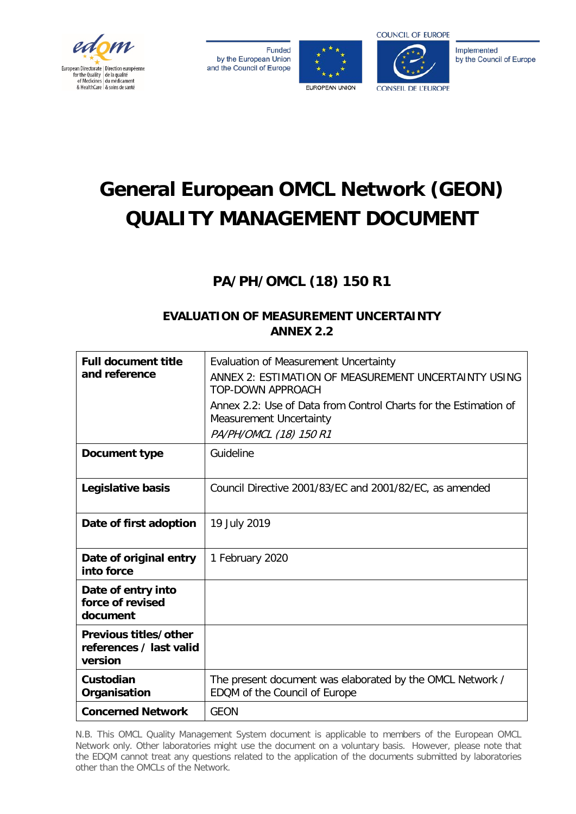

**Funded** by the European Union and the Council of Europe





Implemented by the Council of Europe

# **General European OMCL Network (GEON) QUALITY MANAGEMENT DOCUMENT**

## **PA/PH/OMCL (18) 150 R1**

## **EVALUATION OF MEASUREMENT UNCERTAINTY ANNEX 2.2**

| <b>Full document title</b><br>and reference                 | <b>Evaluation of Measurement Uncertainty</b><br>ANNEX 2: ESTIMATION OF MEASUREMENT UNCERTAINTY USING<br><b>TOP-DOWN APPROACH</b><br>Annex 2.2: Use of Data from Control Charts for the Estimation of<br>Measurement Uncertainty<br>PA/PH/OMCL (18) 150 R1 |
|-------------------------------------------------------------|-----------------------------------------------------------------------------------------------------------------------------------------------------------------------------------------------------------------------------------------------------------|
| Document type                                               | Guideline                                                                                                                                                                                                                                                 |
| Legislative basis                                           | Council Directive 2001/83/EC and 2001/82/EC, as amended                                                                                                                                                                                                   |
| Date of first adoption                                      | 19 July 2019                                                                                                                                                                                                                                              |
| Date of original entry<br>into force                        | 1 February 2020                                                                                                                                                                                                                                           |
| Date of entry into<br>force of revised<br>document          |                                                                                                                                                                                                                                                           |
| Previous titles/other<br>references / last valid<br>version |                                                                                                                                                                                                                                                           |
| Custodian<br>Organisation                                   | The present document was elaborated by the OMCL Network /<br>EDQM of the Council of Europe                                                                                                                                                                |
| <b>Concerned Network</b>                                    | <b>GEON</b>                                                                                                                                                                                                                                               |

N.B. This OMCL Quality Management System document is applicable to members of the European OMCL Network only. Other laboratories might use the document on a voluntary basis. However, please note that the EDQM cannot treat any questions related to the application of the documents submitted by laboratories other than the OMCLs of the Network.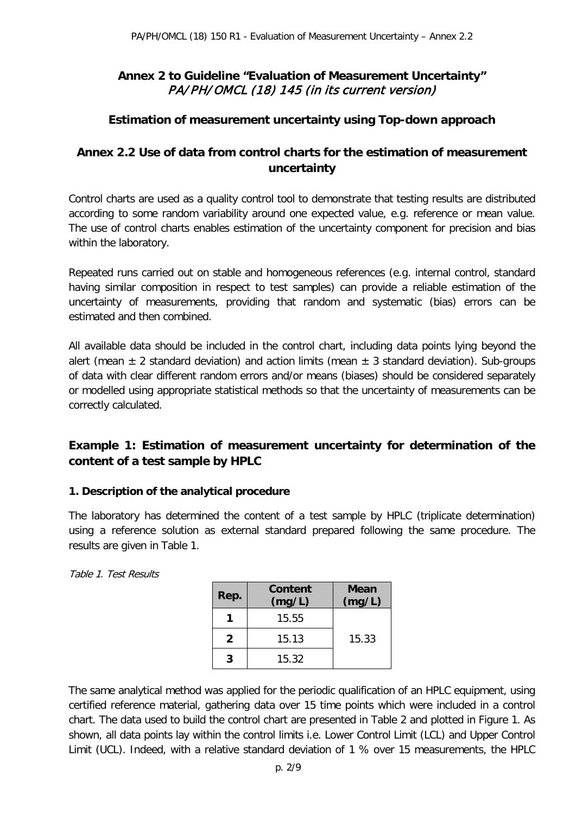## **Annex 2 to Guideline "Evaluation of Measurement Uncertainty"**  PA/PH/OMCL (18) 145 (in its current version)

#### **Estimation of measurement uncertainty using Top-down approach**

## **Annex 2.2 Use of data from control charts for the estimation of measurement uncertainty**

Control charts are used as a quality control tool to demonstrate that testing results are distributed according to some random variability around one expected value, e.g. reference or mean value. The use of control charts enables estimation of the uncertainty component for precision and bias within the laboratory.

Repeated runs carried out on stable and homogeneous references (e.g. internal control, standard having similar composition in respect to test samples) can provide a reliable estimation of the uncertainty of measurements, providing that random and systematic (bias) errors can be estimated and then combined.

All available data should be included in the control chart, including data points lying beyond the alert (mean  $\pm$  2 standard deviation) and action limits (mean  $\pm$  3 standard deviation). Sub-groups of data with clear different random errors and/or means (biases) should be considered separately or modelled using appropriate statistical methods so that the uncertainty of measurements can be correctly calculated.

## **Example 1: Estimation of measurement uncertainty for determination of the content of a test sample by HPLC**

#### **1. Description of the analytical procedure**

The laboratory has determined the content of a test sample by HPLC (triplicate determination) using a reference solution as external standard prepared following the same procedure. The results are given in Table 1.

| Rep. | Content<br>(mg/L) | Mean<br>(mg/L) |
|------|-------------------|----------------|
|      | 15.55             |                |
| 2    | 15.13             | 15.33          |
| 3    | 15.32             |                |

Table 1. Test Results

The same analytical method was applied for the periodic qualification of an HPLC equipment, using certified reference material, gathering data over 15 time points which were included in a control chart. The data used to build the control chart are presented in Table 2 and plotted in Figure 1. As shown, all data points lay within the control limits i.e. Lower Control Limit (LCL) and Upper Control Limit (UCL). Indeed, with a relative standard deviation of 1 % over 15 measurements, the HPLC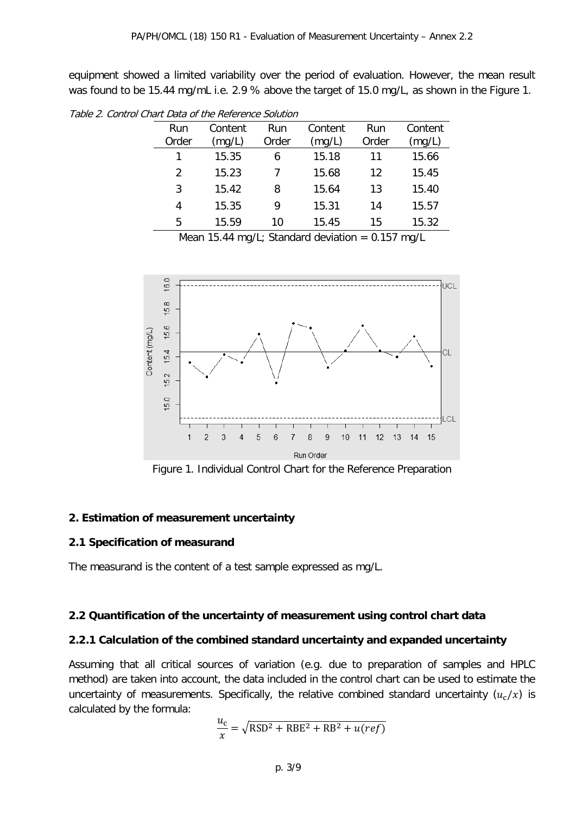equipment showed a limited variability over the period of evaluation. However, the mean result was found to be 15.44 mg/mL i.e. 2.9 % above the target of 15.0 mg/L, as shown in the Figure 1.

Table 2. Control Chart Data of the Reference Solution

| Run<br>Order | Content | Run.<br>Order | Content | Run<br>Order | Content |
|--------------|---------|---------------|---------|--------------|---------|
|              | (mg/L)  |               | (mg/L)  |              | (mg/L)  |
| 1            | 15.35   | 6             | 15.18   | 11           | 15.66   |
| 2            | 15.23   |               | 15.68   | 12           | 15.45   |
| 3            | 15.42   | 8             | 15.64   | 13           | 15.40   |
| 4            | 15.35   | 9             | 15.31   | 14           | 15.57   |
| 5            | 15.59   | 10            | 15.45   | 15           | 15.32   |
|              |         |               | .       |              |         |

Mean 15.44 mg/L; Standard deviation =  $0.157$  mg/L



Figure 1. Individual Control Chart for the Reference Preparation

#### **2. Estimation of measurement uncertainty**

#### **2.1 Specification of measurand**

The measurand is the content of a test sample expressed as mg/L.

#### **2.2 Quantification of the uncertainty of measurement using control chart data**

#### **2.2.1 Calculation of the combined standard uncertainty and expanded uncertainty**

Assuming that all critical sources of variation (e.g. due to preparation of samples and HPLC method) are taken into account, the data included in the control chart can be used to estimate the uncertainty of measurements. Specifically, the relative combined standard uncertainty  $(u_c/x)$  is calculated by the formula:

$$
\frac{u_c}{x} = \sqrt{RSD^2 + RBE^2 + RB^2 + u(ref)}
$$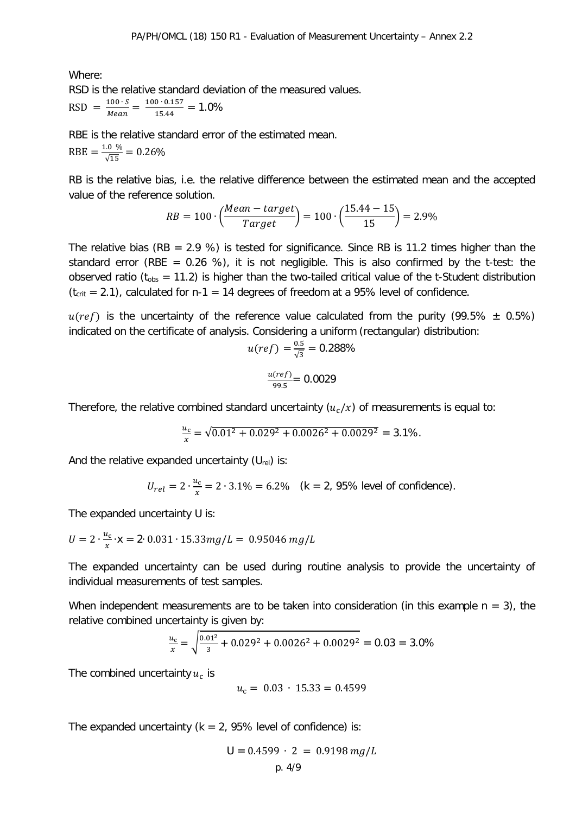Where: RSD is the relative standard deviation of the measured values.

 $RSD = \frac{100 \cdot S}{Mean} = \frac{100 \cdot 0.157}{15.44} = 1.0\%$ 

RBE is the relative standard error of the estimated mean.  $RBE = \frac{1.0 \text{ %}}{\sqrt{15}} = 0.26\%$ 

RB is the relative bias, i.e. the relative difference between the estimated mean and the accepted value of the reference solution.

$$
RB = 100 \cdot \left(\frac{Mean - target}{Target}\right) = 100 \cdot \left(\frac{15.44 - 15}{15}\right) = 2.9\%
$$

The relative bias (RB = 2.9 %) is tested for significance. Since RB is 11.2 times higher than the standard error (RBE =  $0.26$  %), it is not negligible. This is also confirmed by the t-test: the observed ratio ( $t_{obs}$  = 11.2) is higher than the two-tailed critical value of the t-Student distribution  $(t_{crit} = 2.1)$ , calculated for n-1 = 14 degrees of freedom at a 95% level of confidence.

 $u(ref)$  is the uncertainty of the reference value calculated from the purity (99.5%  $\pm$  0.5%) indicated on the certificate of analysis. Considering a uniform (rectangular) distribution:

$$
u(ref) = \frac{0.5}{\sqrt{3}} = 0.288\%
$$

$$
\frac{u(ref)}{99.5} = 0.0029
$$

Therefore, the relative combined standard uncertainty  $(u_c/x)$  of measurements is equal to:

$$
\frac{u_c}{x} = \sqrt{0.01^2 + 0.029^2 + 0.0026^2 + 0.0029^2} = 3.1\%.
$$

And the relative expanded uncertainty  $(U_{rel})$  is:

$$
U_{rel} = 2 \cdot \frac{u_c}{x} = 2 \cdot 3.1\% = 6.2\%
$$
 (k = 2, 95% level of confidence).

The expanded uncertainty U is:

$$
U = 2 \cdot \frac{u_c}{x} \cdot x = 2 \cdot 0.031 \cdot 15.33 mg/L = 0.95046 mg/L
$$

The expanded uncertainty can be used during routine analysis to provide the uncertainty of individual measurements of test samples.

When independent measurements are to be taken into consideration (in this example  $n = 3$ ), the relative combined uncertainty is given by:

$$
\frac{u_c}{x} = \sqrt{\frac{0.01^2}{3} + 0.029^2 + 0.0026^2 + 0.0029^2} = 0.03 = 3.0\%
$$

The combined uncertainty  $u_c$  is

$$
u_{\rm c} = 0.03 \cdot 15.33 = 0.4599
$$

The expanded uncertainty ( $k = 2$ , 95% level of confidence) is:

$$
U = 0.4599 \cdot 2 = 0.9198 mg/L
$$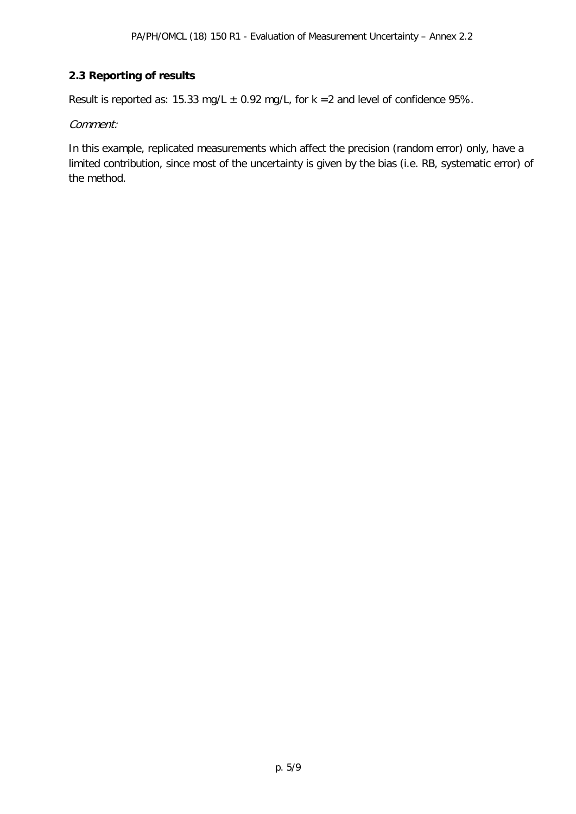#### **2.3 Reporting of results**

Result is reported as: 15.33 mg/L  $\pm$  0.92 mg/L, for k = 2 and level of confidence 95%.

Comment:

In this example, replicated measurements which affect the precision (random error) only, have a limited contribution, since most of the uncertainty is given by the bias (i.e. RB, systematic error) of the method.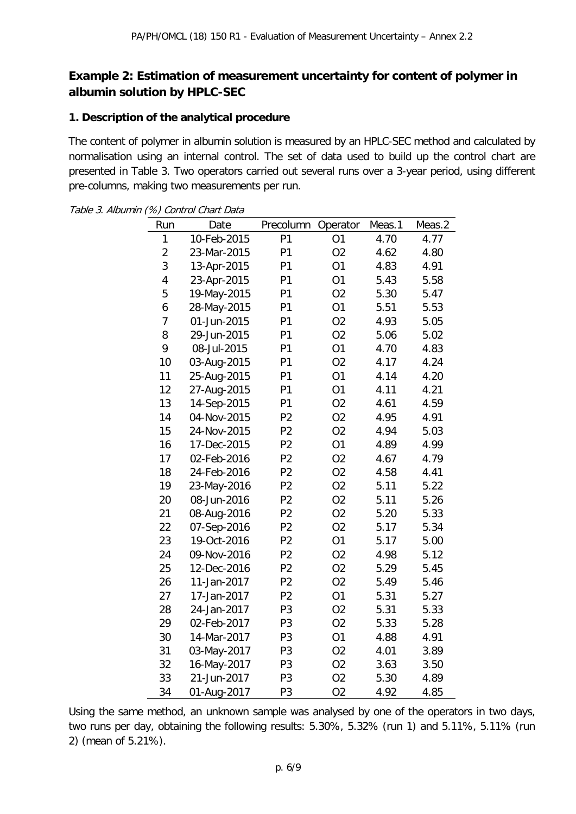## **Example 2: Estimation of measurement uncertainty for content of polymer in albumin solution by HPLC-SEC**

#### **1. Description of the analytical procedure**

The content of polymer in albumin solution is measured by an HPLC-SEC method and calculated by normalisation using an internal control. The set of data used to build up the control chart are presented in Table 3. Two operators carried out several runs over a 3-year period, using different pre-columns, making two measurements per run.

| Run            | Date        | Precolumn      | Operator       | Meas.1 | Meas.2 |
|----------------|-------------|----------------|----------------|--------|--------|
| 1              | 10-Feb-2015 | P <sub>1</sub> | 01             | 4.70   | 4.77   |
| $\overline{c}$ | 23-Mar-2015 | P1             | O <sub>2</sub> | 4.62   | 4.80   |
| 3              | 13-Apr-2015 | P1             | 01             | 4.83   | 4.91   |
| 4              | 23-Apr-2015 | P1             | 01             | 5.43   | 5.58   |
| 5              | 19-May-2015 | P <sub>1</sub> | O <sub>2</sub> | 5.30   | 5.47   |
| 6              | 28-May-2015 | P <sub>1</sub> | 01             | 5.51   | 5.53   |
| $\overline{7}$ | 01-Jun-2015 | P <sub>1</sub> | O <sub>2</sub> | 4.93   | 5.05   |
| 8              | 29-Jun-2015 | P <sub>1</sub> | O <sub>2</sub> | 5.06   | 5.02   |
| 9              | 08-Jul-2015 | P <sub>1</sub> | 01             | 4.70   | 4.83   |
| 10             | 03-Aug-2015 | P <sub>1</sub> | O <sub>2</sub> | 4.17   | 4.24   |
| 11             | 25-Aug-2015 | P <sub>1</sub> | 01             | 4.14   | 4.20   |
| 12             | 27-Aug-2015 | P1             | 01             | 4.11   | 4.21   |
| 13             | 14-Sep-2015 | P1             | 02             | 4.61   | 4.59   |
| 14             | 04-Nov-2015 | P <sub>2</sub> | 02             | 4.95   | 4.91   |
| 15             | 24-Nov-2015 | P <sub>2</sub> | O <sub>2</sub> | 4.94   | 5.03   |
| 16             | 17-Dec-2015 | P <sub>2</sub> | 01             | 4.89   | 4.99   |
| 17             | 02-Feb-2016 | P <sub>2</sub> | O <sub>2</sub> | 4.67   | 4.79   |
| 18             | 24-Feb-2016 | P <sub>2</sub> | O <sub>2</sub> | 4.58   | 4.41   |
| 19             | 23-May-2016 | P <sub>2</sub> | O <sub>2</sub> | 5.11   | 5.22   |
| 20             | 08-Jun-2016 | P <sub>2</sub> | 02             | 5.11   | 5.26   |
| 21             | 08-Aug-2016 | P <sub>2</sub> | O <sub>2</sub> | 5.20   | 5.33   |
| 22             | 07-Sep-2016 | P <sub>2</sub> | O <sub>2</sub> | 5.17   | 5.34   |
| 23             | 19-Oct-2016 | P <sub>2</sub> | 01             | 5.17   | 5.00   |
| 24             | 09-Nov-2016 | P <sub>2</sub> | O <sub>2</sub> | 4.98   | 5.12   |
| 25             | 12-Dec-2016 | P <sub>2</sub> | O <sub>2</sub> | 5.29   | 5.45   |
| 26             | 11-Jan-2017 | P <sub>2</sub> | O <sub>2</sub> | 5.49   | 5.46   |
| 27             | 17-Jan-2017 | P <sub>2</sub> | O1             | 5.31   | 5.27   |
| 28             | 24-Jan-2017 | P3             | O <sub>2</sub> | 5.31   | 5.33   |
| 29             | 02-Feb-2017 | P3             | 02             | 5.33   | 5.28   |
| 30             | 14-Mar-2017 | P3             | 01             | 4.88   | 4.91   |
| 31             | 03-May-2017 | P <sub>3</sub> | O <sub>2</sub> | 4.01   | 3.89   |
| 32             | 16-May-2017 | P3             | O <sub>2</sub> | 3.63   | 3.50   |
| 33             | 21-Jun-2017 | P3             | O <sub>2</sub> | 5.30   | 4.89   |
| 34             | 01-Aug-2017 | P <sub>3</sub> | O <sub>2</sub> | 4.92   | 4.85   |

Table 3. Albumin (%) Control Chart Data

Using the same method, an unknown sample was analysed by one of the operators in two days, two runs per day, obtaining the following results: 5.30%, 5.32% (run 1) and 5.11%, 5.11% (run 2) (mean of 5.21%).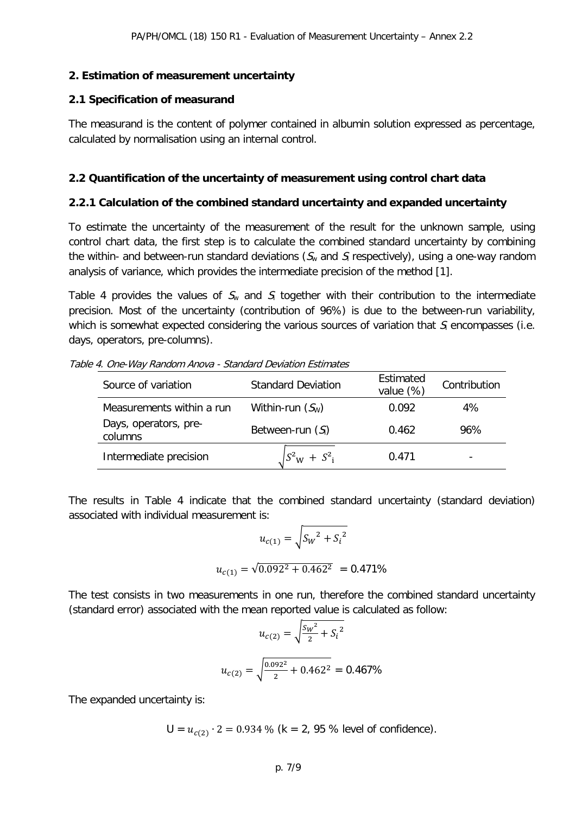#### **2. Estimation of measurement uncertainty**

#### **2.1 Specification of measurand**

The measurand is the content of polymer contained in albumin solution expressed as percentage, calculated by normalisation using an internal control.

#### **2.2 Quantification of the uncertainty of measurement using control chart data**

#### **2.2.1 Calculation of the combined standard uncertainty and expanded uncertainty**

To estimate the uncertainty of the measurement of the result for the unknown sample, using control chart data, the first step is to calculate the combined standard uncertainty by combining the within- and between-run standard deviations  $(S_w$  and  $S_i$  respectively), using a one-way random analysis of variance, which provides the intermediate precision of the method [1].

Table 4 provides the values of  $S_w$  and  $S_i$  together with their contribution to the intermediate precision. Most of the uncertainty (contribution of 96%) is due to the between-run variability, which is somewhat expected considering the various sources of variation that  $S_i$  encompasses (i.e. days, operators, pre-columns).

| $\ldots$ , $\ldots$ , $\ldots$ , $\ldots$ , $\ldots$ , $\ldots$ , $\ldots$ , $\ldots$ , , |                                         |                        |                |  |
|-------------------------------------------------------------------------------------------|-----------------------------------------|------------------------|----------------|--|
| Source of variation                                                                       | <b>Standard Deviation</b>               | Estimated<br>value (%) | Contribution   |  |
| Measurements within a run                                                                 | Within-run $(S_{W})$                    | 0.092                  | 4%             |  |
| Days, operators, pre-<br>columns                                                          | Between-run $(S_i)$                     | 0.462                  | 96%            |  |
| Intermediate precision                                                                    | $S^2$ <sub>W</sub> + $S^2$ <sub>i</sub> | 0.471                  | $\overline{a}$ |  |

Table 4. One-Way Random Anova - Standard Deviation Estimates

The results in Table 4 indicate that the combined standard uncertainty (standard deviation) associated with individual measurement is:

$$
u_{c(1)} = \sqrt{S_W^2 + {S_t}^2}
$$

$$
u_{c(1)} = \sqrt{0.092^2 + 0.462^2} = 0.471\%
$$

The test consists in two measurements in one run, therefore the combined standard uncertainty (standard error) associated with the mean reported value is calculated as follow:

$$
u_{c(2)} = \sqrt{\frac{s_w^2}{2} + S_i^2}
$$

$$
u_{c(2)} = \sqrt{\frac{0.092^2}{2} + 0.462^2} = 0.467\%
$$

The expanded uncertainty is:

$$
U = u_{c(2)} \cdot 2 = 0.934 \%
$$
 (k = 2, 95 % level of confidence).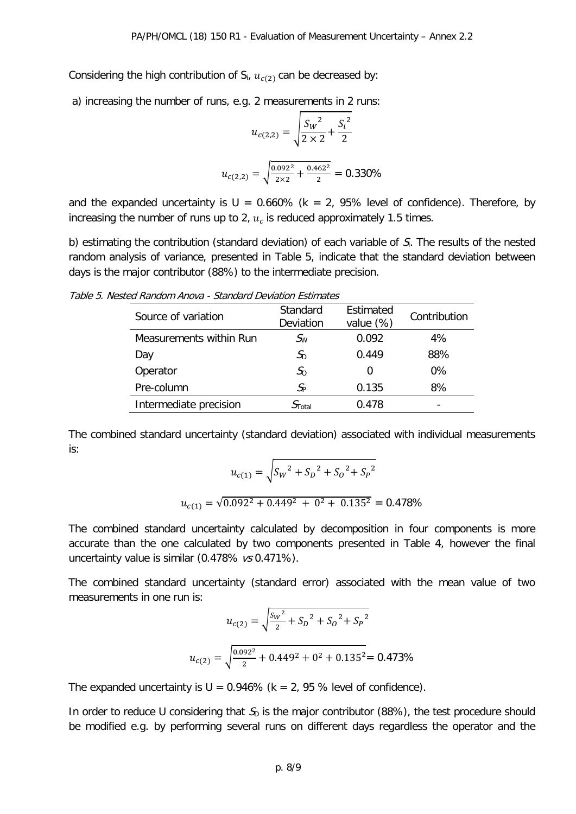Considering the high contribution of  $S_i$ ,  $u_{c(2)}$  can be decreased by:

a) increasing the number of runs, e.g. 2 measurements in 2 runs:

$$
u_{c(2,2)} = \sqrt{\frac{S_W^2}{2 \times 2} + \frac{S_i^2}{2}}
$$

$$
u_{c(2,2)} = \sqrt{\frac{0.092^2}{2 \times 2} + \frac{0.462^2}{2}} = 0.330\%
$$

and the expanded uncertainty is  $U = 0.660\%$  (k = 2, 95% level of confidence). Therefore, by increasing the number of runs up to 2,  $u_c$  is reduced approximately 1.5 times.

b) estimating the contribution (standard deviation) of each variable of  $S<sub>i</sub>$ . The results of the nested random analysis of variance, presented in Table 5, indicate that the standard deviation between days is the major contributor (88%) to the intermediate precision.

| Source of variation     | Standard<br>Deviation  | Estimated<br>value (%) | Contribution |
|-------------------------|------------------------|------------------------|--------------|
| Measurements within Run | $S_{\rm W}$            | 0.092                  | $4\%$        |
| Day                     | $S_{\rm D}$            | 0.449                  | 88%          |
| Operator                | $\mathcal{S}_0$        |                        | $0\%$        |
| Pre-column              | $\mathcal{S}_\text{P}$ | 0.135                  | 8%           |
| Intermediate precision  | $S_{\text{Total}}$     | 0.478                  |              |

Table 5. Nested Random Anova - Standard Deviation Estimates

The combined standard uncertainty (standard deviation) associated with individual measurements is:

$$
u_{c(1)} = \sqrt{S_W^2 + S_D^2 + S_O^2 + S_P^2}
$$

$$
u_{c(1)} = \sqrt{0.092^2 + 0.449^2 + 0^2 + 0.135^2} = 0.478\%
$$

The combined standard uncertainty calculated by decomposition in four components is more accurate than the one calculated by two components presented in Table 4, however the final uncertainty value is similar (0.478% vs 0.471%).

The combined standard uncertainty (standard error) associated with the mean value of two measurements in one run is:

$$
u_{c(2)} = \sqrt{\frac{s_w^2}{2} + S_D^2 + S_O^2 + S_P^2}
$$

$$
u_{c(2)} = \sqrt{\frac{0.092^2}{2} + 0.449^2 + 0^2 + 0.135^2} = 0.473\%
$$

The expanded uncertainty is  $U = 0.946\%$  (k = 2, 95 % level of confidence).

In order to reduce U considering that  $S<sub>D</sub>$  is the major contributor (88%), the test procedure should be modified e.g. by performing several runs on different days regardless the operator and the